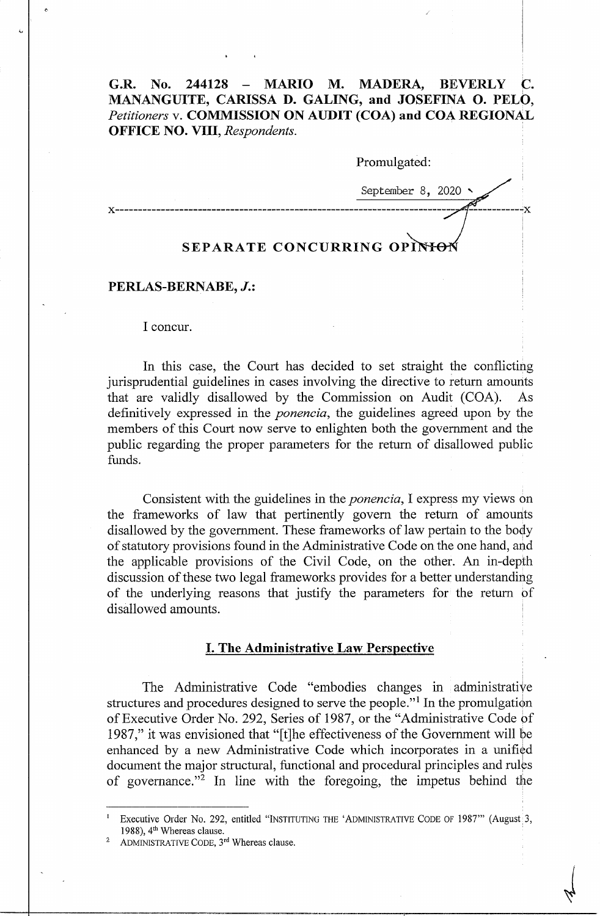# G.R. No. 244128 - MARIO M. MADERA, BEVERLY C. **MANANGUITE, CARISSA D. GALING, and JOSEFINA 0. PELO,**  *Petitioners* v. **COMMISSION ON AUDIT (COA) and COA REGIONAL OFFICE NO. VIII,** *Respondents.*

| Promulgated:                |
|-----------------------------|
| September 8, 2020 $\sim$    |
| SEPARATE CONCURRING OPINION |

#### **PERLAS-BERNABE,** *J.:*

I concur.

In this case, the Court has decided to set straight the conflicting jurisprudential guidelines in cases involving the directive to return amounts that are validly disallowed by the Commission on Audit (COA). As definitively expressed in the *ponencia,* the guidelines agreed upon by the members of this Court now serve to enlighten both the government and the public regarding the proper parameters for the return of disallowed public funds.

Consistent with the guidelines in the *ponencia,* I express my views on the frameworks of law that pertinently govern the return of amounts disallowed by the government. These frameworks of law pertain to the body of statutory provisions found in the Administrative Code on the one hand, and the applicable provisions of the Civil Code, on the other. An in-depth discussion of these two legal frameworks provides for a better understanding of the underlying reasons that justify the parameters for the return of disallowed amounts.

# I. **The Administrative Law Perspective**

The Administrative Code "embodies changes in administrative structures and procedures designed to serve the people."<sup>1</sup> In the promulgation of Executive Order No. 292, Series of 1987, or the "Administrative Code of 1987," it was envisioned that "[t]he effectiveness of the Government will be enhanced by a new Administrative Code which incorporates in a unified document the major structural, functional and procedural principles and rules of governance. "<sup>2</sup>In line with the foregoing, the impetus behind the

<sup>1</sup>Executive Order No. 292, entitled "INSTITUTING THE 'ADMINISTRATIVE CODE OF 1987'" (August 3, 1988), 4<sup>th</sup> Whereas clause.

ADMINISTRATIVE CODE, 3rd Whereas clause.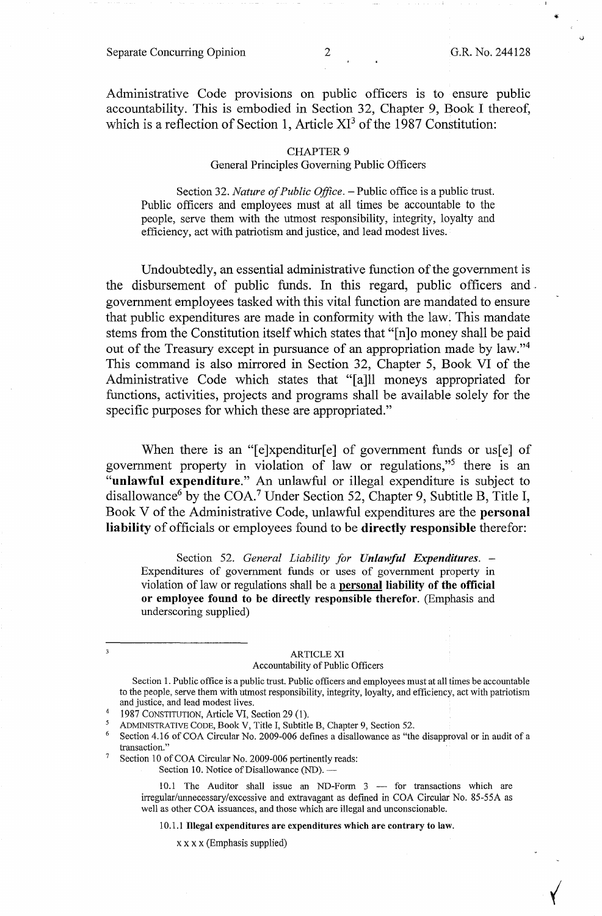✓

Administrative Code provisions on public officers is to ensure public accountability. This is embodied in Section 32, Chapter 9, Book I thereof, which is a reflection of Section 1, Article  $XI<sup>3</sup>$  of the 1987 Constitution:

### **CHAPTER 9** General Principles Governing Public Officers

Section 32. *Nature of Public Office*. - Public office is a public trust. Public officers and employees must at all times be accountable to the people, serve them with the utmost responsibility, integrity, loyalty and efficiency, act with patriotism and justice, and lead modest lives.

Undoubtedly, an essential administrative function of the government is the disbursement of public funds. In this regard, public officers and . government employees tasked with this vital function are mandated to ensure that public expenditures are made in conformity with the law. This mandate stems from the Constitution itself which states that "[n]o money shall be paid out of the Treasury except in pursuance of an appropriation made by law."<sup>4</sup> This command is also mirrored in Section 32, Chapter 5, Book VI of the Administrative Code which states that "[a]ll moneys appropriated for functions, activities, projects and programs shall be available solely for the specific purposes for which these are appropriated."

When there is an " $[e]$ xpenditur $[e]$  of government funds or us $[e]$  of government property in violation of law or regulations,"5 there is an **"unlawful expenditure."** An unlawful or illegal expenditure is subject to disallowance<sup>6</sup> by the COA.<sup>7</sup> Under Section 52, Chapter 9, Subtitle B, Title I, Book V of the Administrative Code, unlawful expenditures are the **personal liability** of officials or employees found to be **directly responsible** therefor:

Section 52. *General Liability for Unlawful Expenditures.* - Expenditures of government funds or uses of government property in violation of law or regulations shall be a **personal liability of the official or employee found to be directly responsible therefor.** (Emphasis and underscoring supplied)

# ARTICLE XI

Accountability of Public Officers

Section 1. Public office is a public trust. Public officers and employees must at all times be accountable to the people, serve them with utmost responsibility, integrity, loyalty, and efficiency, act with patriotism and justice, and lead modest lives.

<sup>7</sup> Section 10 of COA Circular No. 2009-006 pertinently reads:

10.1 The Auditor shall issue an ND-Form 3 - for transactions which are irregular/unnecessary/excessive and extravagant as defined in COA Circular No. 85-55A as well as other COA issuances, and those which are illegal and unconscionable.

10.1.1 **Illegal expenditures are expenditures which are contrary to law.** 

 $x \times x \times$  (Emphasis supplied)

<sup>4 1987</sup> CONSTITUTION, Article VI, Section 29 (1).<br>5 ADMINISTRATIVE CODE, Book V, Title I, Subtitle B, Chapter 9, Section 52.

Section 4.16 of COA Circular No. 2009-006 defines a disallowance as "the disapproval or in audit of a transaction."

Section 10. Notice of Disallowance (ND).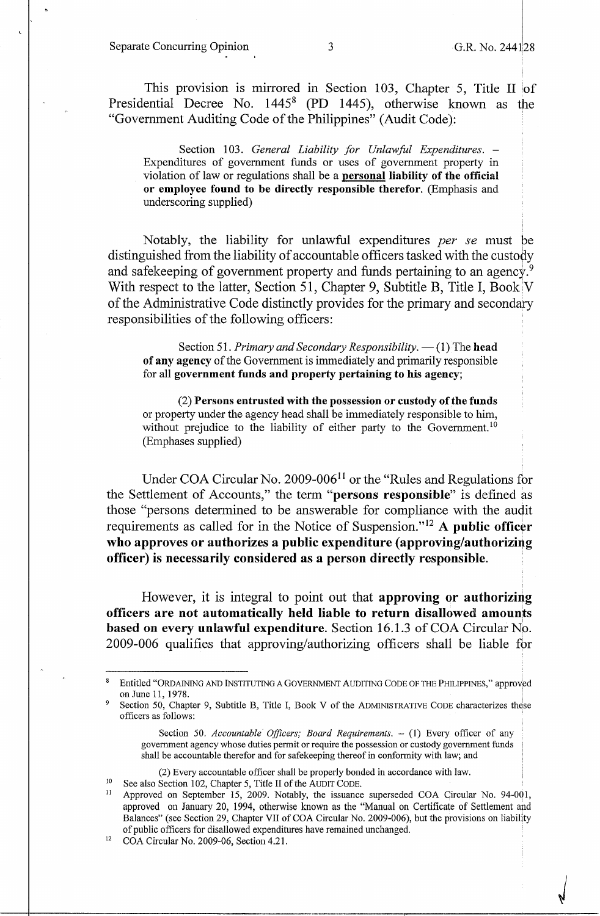Separate Concurring Opinion 3 G.R. No. 244128

 $\sqrt{ }$ 

This provision is mirrored in Section 103, Chapter 5, Title II of Presidential Decree No. 1445<sup>8</sup>**(PD** 1445), otherwise known as the "Government Auditing Code of the Philippines" (Audit Code):

Section 103. *General Liability for Unlawful Expenditures.* -Expenditures of government funds or uses of government property in violation of law or regulations shall be a **personal liability of the official or employee found to be directly responsible therefor.** (Emphasis and underscoring supplied)

Notably, the liability for unlawful expenditures *per se* must be distinguished from the liability of accountable officers tasked with the custody and safekeeping of government property and funds pertaining to an agency.<sup>9</sup> With respect to the latter, Section 51, Chapter 9, Subtitle B, Title I, Book  $V$ of the Administrative Code distinctly provides for the primary and secondary responsibilities of the following officers:

Section 51. *Primary and Secondary Responsibility*. - (1) The head **of any agency** of the Government is immediately and primarily responsible for all **government funds and property pertaining to his agency;** 

(2) **Persons entrusted with the possession or custody of the funds**  or property under the agency head shall be immediately responsible to him, without prejudice to the liability of either party to the Government.<sup>10</sup> (Emphases supplied)

Under COA Circular No. 2009-006 $11$  or the "Rules and Regulations for the Settlement of Accounts," the term **"persons responsible"** is defined as those "persons detennined to be answerable for compliance with the audit requirements as called for in the Notice of Suspension." <sup>12</sup>**A public officer**  who approves or authorizes a public expenditure (approving/authorizing **officer) is necessarily considered as a person directly responsible.** 

However, it is integral to point out that **approving or authorizing officers are not automatically held liable to return disallowed. amounts** . I **based on every unlawful expenditure.** Section 16.1.3 of COA Circular No. 2009-006 qualifies that approving/authorizing officers shall be liable for

Entitled "ORDAINING AND INSTITUTING A GOVERNMENT AUDITING CODE OF THE PHILIPPINES," approved on June 11, 1978.

Section 50, Chapter 9, Subtitle B, Title I, Book V of the ADMINISTRATIVE CODE characterizes these officers as follows: '

Section 50. *Accountable Officers; Board Requirements.* - (1) Every officer of any government agency whose duties permit or require the possession or custody government funds shall be accountable therefor and for safekeeping thereof in conformity with law; and

<sup>(2)</sup> Every accountable officer shall be properly bonded in accordance with law.<br><sup>10</sup> See also Section 102, Chapter 5, Title II of the AUDIT CODE.<br><sup>11</sup> Approved on September 15, 2009. Notably, the issuance superseded COA Cir approved on January 20, 1994, otherwise known as the "Manual on Certificate of Settlement and Balances" (see Section 29, Chapter VII of COA Circular No. 2009-006), but the provisions on liability of public officers for disallowed expenditures have remained unchanged. 12 COA Circular No. 2009-06, Section 4.21.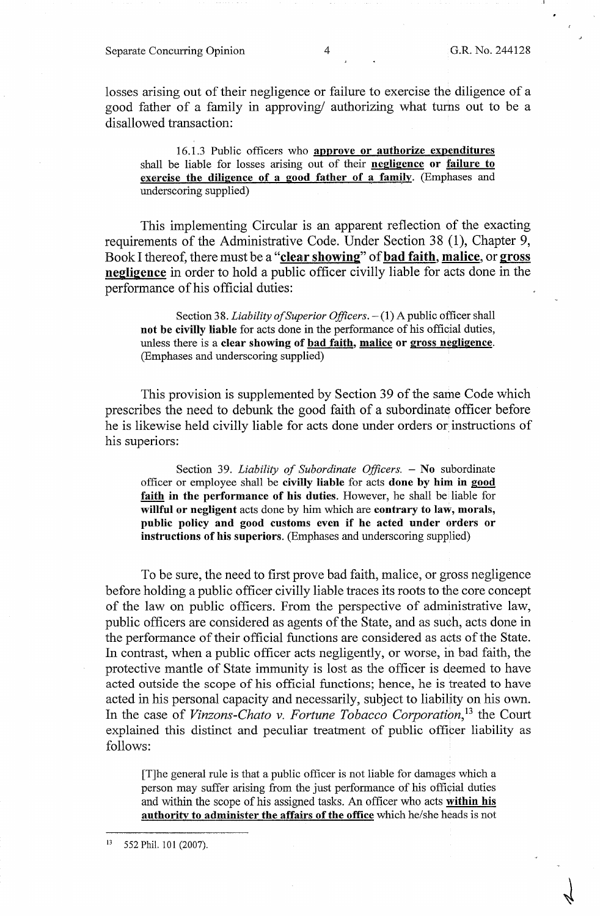losses arising out of their negligence or failure to exercise the diligence of a good father of a family in approving/ authorizing what turns out to be a disallowed transaction:

16.1.3 Public officers who **approve or authorize expenditures**  shall be liable for losses arising out of their **negligence or failure to exercise the diligence of a good father of a family**. (Emphases and underscoring supplied)

This implementing Circular is an apparent reflection of the exacting requirements of the Administrative Code. Under Section 38 (1), Chapter 9, Book I thereof, there must be a **"clear showing"** of **bad faith, malice,** or **gross negligence** in order to hold a public officer civilly liable for acts done in the performance of his official duties:

Section 38. *Liability of Superior Officers*.  $- (1)$  A public officer shall **not be civilly liable** for acts done in the performance of his official duties, unless there is a **clear showing of bad faith, malice or gross negligence.**  (Emphases and underscoring supplied)

This provision is supplemented by Section 39 of the same Code which prescribes the need to debunk the good faith of a subordinate officer before he is likewise held civilly liable for acts done under orders or instructions of his superiors:

Section 39. *Liability of Subordinate Officers*. - No subordinate officer or employee shall be **civilly liable** for acts **done by him in good faith in the performance of his duties.** However, he shall be liable for **willful or negligent** acts done by him which are **contrary to law, morals, public policy and good customs even if he acted under orders or instructions of his superiors.** (Emphases and underscoring supplied)

To be sure, the need to first prove bad faith, malice, or gross negligence before holding a public officer civilly liable traces its roots to the core concept of the law on public officers. From the perspective of administrative law, public officers are considered as agents of the State, and as such, acts done in the performance of their official functions are considered as acts of the State. In contrast, when a public officer acts negligently, or worse, in bad faith, the protective mantle of State immunity is lost as the officer is deemed to have acted outside the scope of his official functions; hence, he is treated to have acted in his personal capacity and necessarily, subject to liability on his own. In the case of *Vinzons-Chato v. Fortune Tobacco Corporation*<sup>13</sup> the Court explained this distinct and peculiar treatment of public officer liability as follows:

[T]he general rule is that a public officer is not liable for damages which a person may suffer arising from the just performance of his official duties and within the scope of his assigned tasks. An officer who acts **within his authority to administer the affairs of the office** which he/she heads is not

<sup>13 552</sup> Phil. 101 (2007).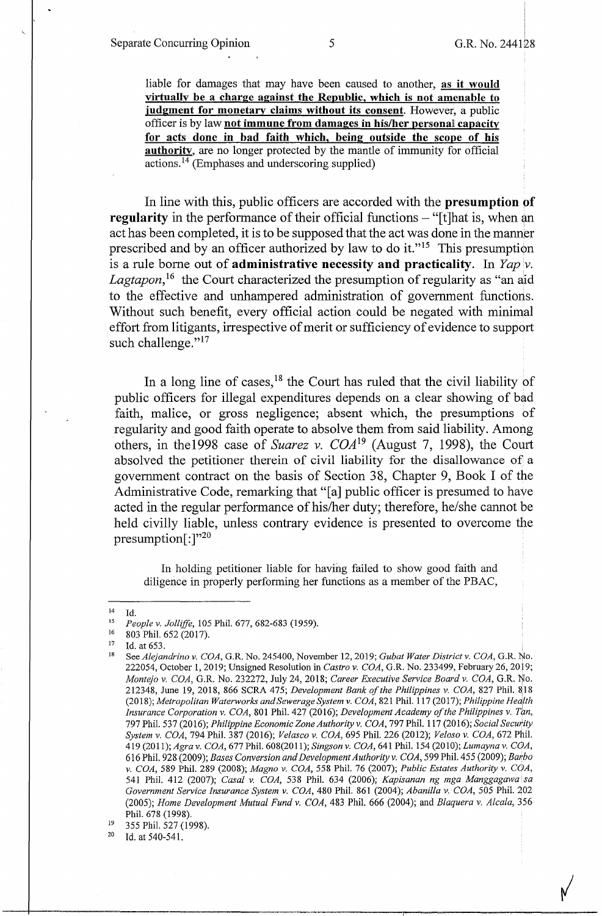liable for damages that may have been caused to another, **as it would virtually be a charge against the Republic, which is not amenable to judgment for monetary claims without its consent.** However, a public officer is by law **not immune from damages in his/her personal capacity for acts done in bad faith which, being outside the scope of his authority.** are no longer protected by the mantle of immunity for official actions. 14 (Emphases and underscoring supplied)

In line with this, public officers are accorded with the **presumption pf regularity** in the performance of their official functions – "[t]hat is, when an act has been completed, it is to be supposed that the act was done in the manner prescribed and by an officer authorized by law to do it."<sup>15</sup> This presumption is a rule borne out of **administrative necessity and practicality.** In *Yap 'v.*  Lagtapon,<sup>16</sup> the Court characterized the presumption of regularity as "an aid to the effective and unhampered administration of government functions. Without such benefit, every official action could be negated with minimal effort from litigants, irrespective of merit or sufficiency of evidence to support such challenge."<sup>17</sup>

In a long line of cases,  $18$  the Court has ruled that the civil liability of public officers for illegal expenditures depends on a clear showing of bad faith, malice, or gross negligence; absent which, the presumptions of regularity and good faith operate to absolve them from said liability. Among others, in the 1998 case of *Suarez v. COA*<sup>19</sup> (August 7, 1998), the Court absolved the petitioner therein of civil liability for the disallowance of a government contract on the basis of Section 38, Chapter 9, Book I of the Administrative Code, remarking that "[a] public officer is presumed to have acted in the regular performance of his/her duty; therefore, he/she cannot be held civilly liable, unless contrary evidence is presented to overcome the presumption $[$ :  $]$ "<sup>20</sup>

In holding petitioner liable for having failed to show good faith and diligence in properly performing her functions as a member of the PBAC,

Id. at 540-541.

<sup>14</sup> Id.

<sup>15</sup>*People v. Jolliffe,* 105 Phil. 677, 682-683 (1959).

<sup>16 803</sup> Phil. 652 (2017).<br><sup>17</sup> Id. at 653.<br><sup>18</sup> See *Alejandrino v. COA*, G.R. No. 245400, November 12, 2019; *Gubat Water District v. COA*, G.R. No. 222054, October 1, 2019; Unsigned Resolution in *Castro v. COA,* G.R. No. 233499, February 26, 2019; *Montejo v. COA,* G.R. No. 232272, July 24, 2018; *Career Executive Service Board v. COA,* G.R. ijo. 212348, June 19, 2018, 866 SCRA 475; *Development Bank of the Philippines v. COA*, 827 Phil. 818 (2018); *Metropolitan Waterworks and Sewerage System v. COA,* 821 Phil. 117(2017); *Philippine Heci/th Insurance Corporation v. COA,* 801 Phil. 427 (2016); *Development Academy of the Philippines v. Tan,*  797 Phil. 53 7 (2016); *Philippine Economic Zone Authority v. COA,* 797 Phil. 117 (2016); *Social Security System v. COA,* 794 Phil. 387 (2016); *Velasco v. COA,* 695 Phil. 226 (2012); *Veloso v. COA,* 672 Phil. 419 (2011); *Agra v. COA,* 677 Phil. 608(2011); *Singson v. COA,* 641 Phil. 154 (2010); *Lumayna v. CGA,*  616 Phil. 928 (2009); *Bases Conversion and Development Authority v. COA,* 599 Phil. 455 (2009); *Ba1:bo v. COA, 589 Phil. 289 (2008); Magno v. COA, 558 Phil. 76 (2007); Public Estates Authority v. COA,* 541 Phil. 412 (2007); *Casal v. COA,* 538 Phil. 634 (2006); *Kapisanan ng mga Manggagawa !sa Government Service Insurance System v. COA,* 480 Phil. 861 (2004); *Abani!la v. COA,* 505 Phil. 202 (2005); *Home Development Mutual Fund v. COA,* 483 Phil. 666 (2004); and *Blaquera v. Alcala,* 356 Phil. 678 (1998).

 $^{19}$  355 Phil. 527 (1998).<br><sup>20</sup> Id. at 540-541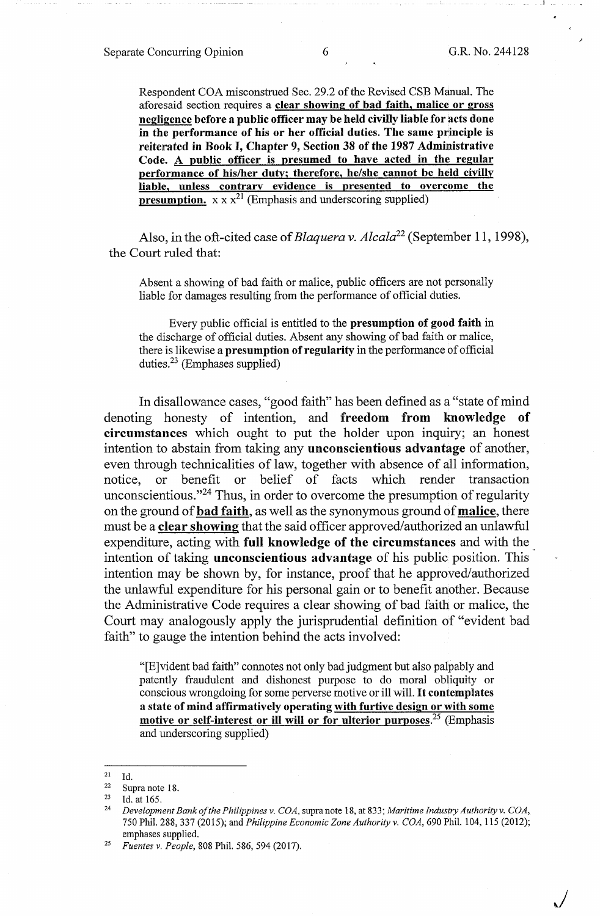~/

Respondent COA misconstrued Sec. 29.2 of the Revised CSB Manual. The aforesaid section requires a **clear showing of bad faith, malice or gross negligence before a public officer may be held civilly liable for acts done in the performance of his or her official duties. The same principle is reiterated in Book** I, **Chapter 9, Section 38 of the 1987 Administrative Code. A public officer is presumed to have acted in the regular performance of his/her duty; therefore, he/she cannot be held civilly liable, unless contrary evidence is presented to overcome the presumption.**  $x \times x^{21}$  (Emphasis and underscoring supplied)

Also, in the oft-cited case of *Blaquera v. Alcala*<sup>22</sup> (September 11, 1998), the Court ruled that:

Absent a showing of bad faith or malice, public officers are not personally liable for damages resulting from the performance of official duties.

Every public official is entitled to the **presumption of good faith** in the discharge of official duties. Absent any showing of bad faith or malice, there is likewise a **presumption of regularity** in the performance of official duties. $23$  (Emphases supplied)

In disallowance cases, "good faith" has been defined as a "state of mind denoting honesty of intention, and **freedom from knowledge of circumstances** which ought to put the holder upon inquiry; an honest intention to abstain from taking any **unconscientious advantage** of another, even through technicalities of law, together with absence of all information, notice, or benefit or belief of facts which render transaction unconscientious."24 Thus, in order to overcome the presumption of regularity on the ground of **bad faith,** as well as the synonymous ground of **malice,** there must be a **clear showing** that the said officer approved/authorized an unlawful expenditure, acting with **full knowledge of the circumstances** and with the . intention of taking **unconscientious advantage** of his public position. This intention may be shown by, for instance, proof that he approved/authorized the unlawful expenditure for his personal gain or to benefit another. Because the Administrative Code requires a clear showing of bad faith or malice, the Court may analogously apply the jurisprudential definition of "evident bad faith" to gauge the intention behind the acts involved:

"[E]vident bad faith" connotes not only bad judgment but also palpably and patently fraudulent and dishonest purpose to do moral obliquity or conscious wrongdoing for some perverse motive or ill will. It **contemplates a state of mind affirmatively operating with furtive design or with some motive or self-interest or** ill **will or for ulterior purposes.<sup>25</sup>**(Emphasis and underscoring supplied)

<sup>21</sup> Id.

<sup>&</sup>lt;sup>22</sup> Supra note 18.<br><sup>23</sup> Id at 165

<sup>23</sup> Id. at 165. 24 *Development Bank of the Philippines v. COA,* supra note 18, at 833; *Maritime Industry Authority v. COA,*  750 Phil. 288, 337 (2015); and *Philippine Economic Zone Authority v. COA,* 690 Phil. 104, 115 (2012); emphases supplied.

<sup>25</sup>*Fuentes v. People,* 808 Phil. 586, 594 (2017).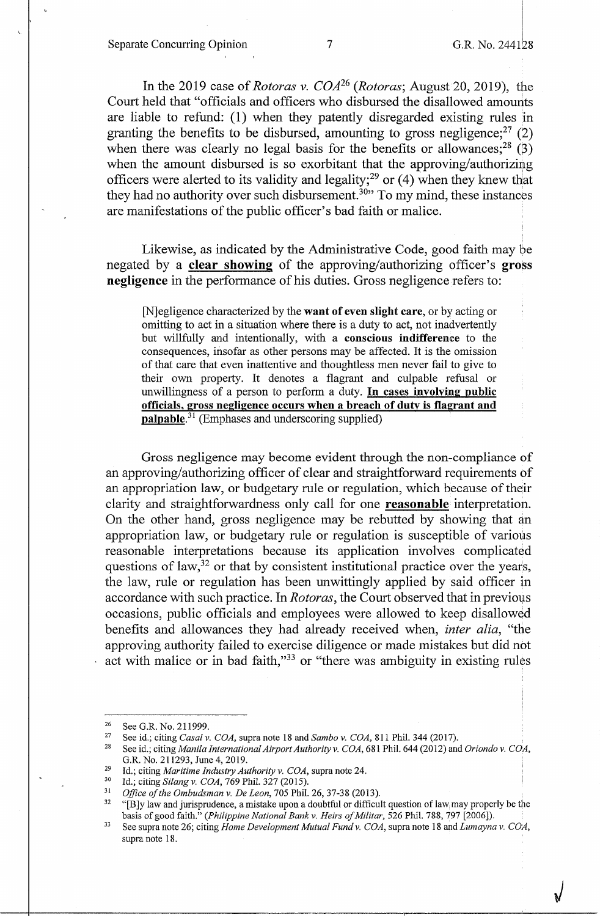Separate Concurring Opinion 7 G.R. No. 244128

 $\sqrt{ }$ 

In the 2019 case of *Rotoras v. COA26 (Rotoras;* August 20, 2019), the Court held that "officials and officers who disbursed the disallowed amounts are liable to refund: (1) when they patently disregarded existing rules in granting the benefits to be disbursed, amounting to gross negligence;  $27$  (2) when there was clearly no legal basis for the benefits or allowances;<sup>28</sup> (3) when the amount disbursed is so exorbitant that the approving/authorizing officers were alerted to its validity and legality;<sup>29</sup> or  $(4)$  when they knew that they had no authority over such disbursement.<sup>30</sup>" To my mind, these instances are manifestations of the public officer's bad faith or malice.

Likewise, as indicated by the Administrative Code, good faith may be negated by a **clear showing** of the approving/authorizing officer's **gross negligence** in the performance of his duties. Gross negligence refers to:

[N]egligence characterized by the **want of even slight care,** or by acting or omitting to act in a situation where there is a duty to act, not inadvertently but willfully and intentionally, with a **conscious indifference** to the consequences, insofar as other persons may be affected. It is the omission of that care that even inattentive and thoughtless men never fail to give to their own property. It denotes a flagrant and culpable refusal or unwillingness of a person to perform a duty. **In cases involving public officials, gross negligence occurs when a breach of duty is flagrant and palpable.<sup>31</sup>**(Emphases and underscoring supplied)

Gross negligence may become evident through the non-compliance of an approving/authorizing officer of clear and straightforward requirements of an appropriation law, or budgetary rule or regulation, which because of their clarity and straightforwardness only call for one **reasonable** interpretation. On the other hand, gross negligence may be rebutted by showing that an appropriation law, or budgetary rule or regulation is susceptible of various reasonable interpretations because its application involves complicated questions of law,  $32$  or that by consistent institutional practice over the years, the law, rule or regulation has been unwittingly applied by said officer in accordance with such practice. In *Rotoras*, the Court observed that in previous occasions, public officials and employees were allowed to keep disallowed benefits and allowances they had already received when, *inter alia,* "the approving authority failed to exercise diligence or made mistakes but did not act with malice or in bad faith,"33 or "there was ambiguity in existing rules

<sup>&</sup>lt;sup>26</sup> See G.R. No. 211999.<br><sup>27</sup> See id.; citing *Casal v. COA*, supra note 18 and *Sambo v. COA*, 811 Phil. 344 (2017).<br><sup>28</sup> See id.; citing *Manila International Airport Authority v. COA*, 681 Phil. 644 (2012) and *Oriond* G.R. No. 211293, June 4, 2019.<br>
<sup>29</sup> Id.; citing *Maritime Industry Authority v. COA*, supra note 24.<br>
<sup>30</sup> Id.; citing *Silang v. COA*, 769 Phil. 327 (2015).<br>
<sup>31</sup> Office of the Ombudsman v. De Leon, 705 Phil. 26, 37-38

basis of good faith." *(Philippine National Bank v. Heirs of Militar, 526 Phil. 788, 797 [2006]).*<br>33 See supra note 26; citing *Home Development Mutual Fund v. COA*, supra note 18 and *Lumayna v. COA*,

supra note 18.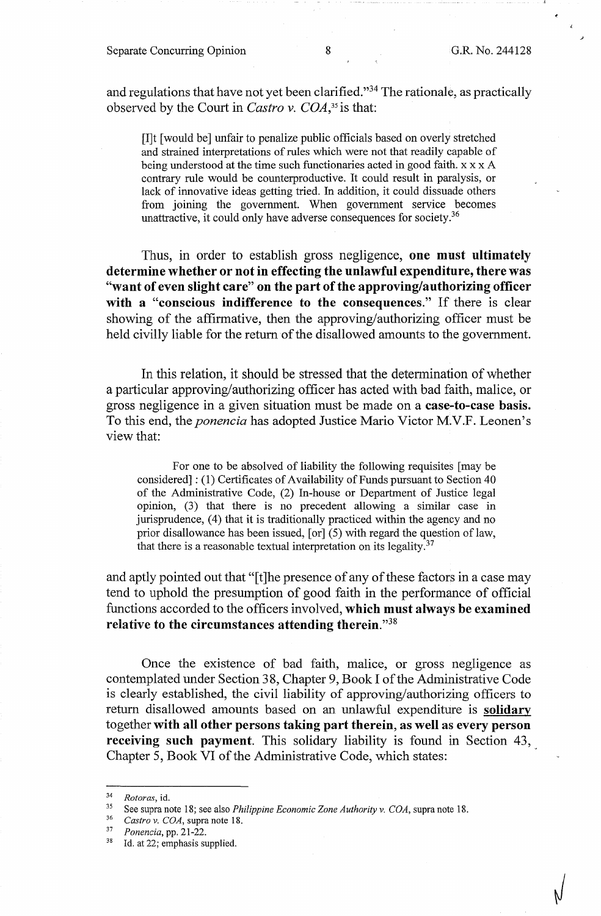and regulations that have not yet been clarified."34 The rationale, as practically observed by the Court in *Castro v. COA,35* is that:

[I]t [ would be] unfair to penalize public officials based on overly stretched and strained interpretations of rules which were not that readily capable of being understood at the time such functionaries acted in good faith. x x x A contrary rule would be counterproductive. It could result in paralysis, or lack of innovative ideas getting tried. In addition, it could dissuade others from joining the government. When government service becomes unattractive, it could only have adverse consequences for society.<sup>36</sup>

Thus, in order to establish gross negligence, **one must ultimately determine whether or not in effecting the unlawful expenditure, there was "want of even slight care" on the part of the approving/authorizing officer with a "conscious indifference to the consequences."** If there is clear showing of the affirmative, then the approving/authorizing officer must be held civilly liable for the return of the disallowed amounts to the government.

In this relation, it should be stressed that the determination of whether a particular approving/authorizing officer has acted with bad faith, malice, or gross negligence in a given situation must be made on a **case-to-case basis.**  To this end, the *ponencia* has adopted Justice Mario Victor M.V.F. Leonen's view that:

For one to be absolved of liability the following requisites [ may be considered] : (1) Certificates of Availability of Funds pursuant to Section 40 of the Administrative Code, (2) In-house or Department of Justice legal opinion, (3) that there is no precedent allowing a similar case in jurisprudence, (4) that it is traditionally practiced within the agency and no prior disallowance has been issued, [or] (5) with regard the question of law, that there is a reasonable textual interpretation on its legality. $37$ 

and aptly pointed out that "[t]he presence of any of these factors in a case may tend to uphold the presumption of good faith in the performance of official functions accorded to the officers involved, **which must always be examined relative to the circumstances attending therein."38** 

Once the existence of bad faith, malice, or gross negligence as contemplated under Section 38, Chapter 9, Book I of the Administrative Code is clearly established, the civil liability of approving/authorizing officers to return disallowed amounts based on an unlawful expenditure is **solidary**  together **with all other persons taking part therein, as well as every person receiving such payment.** This solidary liability is found in Section 43, Chapter 5, Book VI of the Administrative Code, which states:

<sup>34</sup>*Rotoras,* id. 35 See supra note 18; see also *Philippine Economic Zone Authority v. COA,* supra note 18. 36 *Castro v. COA,* supra note 18. 37 *Ponencia,* pp. 21-22. 38 Id. at 22; emphasis supplied.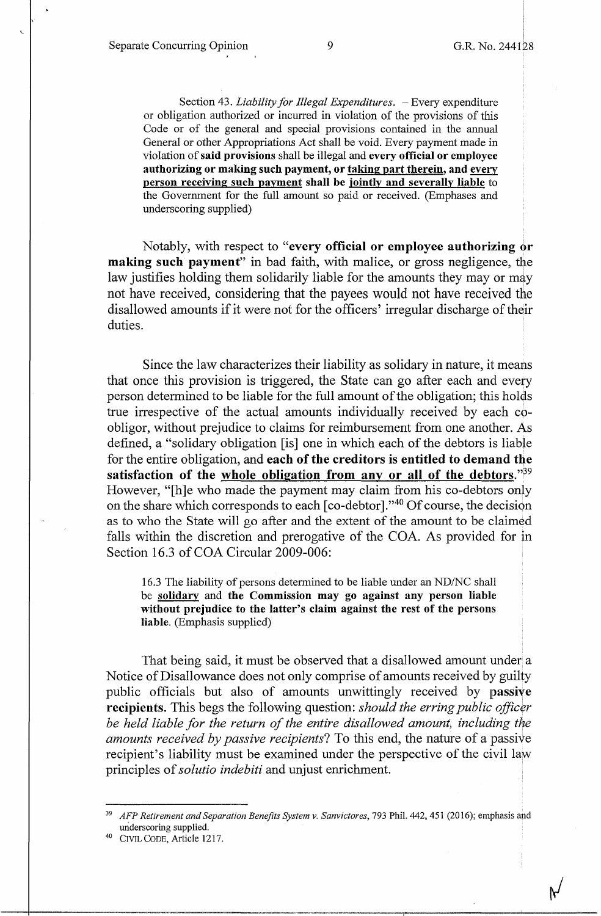'-

Section 43. *Liability for Illegal Expenditures*. - Every expenditure or obligation authorized or incurred in violation of the provisions of this Code or of the general and special provisions contained in the annual General or other Appropriations Act shall be void. Every payment made in violation of **said provisions** shall be illegal and **every official or employee authorizing or making such payment, or taking part therein, and every person receiving such payment shall be jointly and severally liable** to the Government for the full amount so paid or received. (Emphases and underscoring supplied)

Notably, with respect to "every official or employee authorizing or **making such payment**" in bad faith, with malice, or gross negligence, the law justifies holding them solidarily liable for the amounts they may or may not have received, considering that the payees would not have received the disallowed amounts if it were not for the officers' irregular discharge of their duties.

Since the law characterizes their liability as solidary in nature, it means that once this provision is triggered, the State can go after each and every person determined to be liable for the full amount of the obligation; this holds true irrespective of the actual amounts individually received by each coobligor, without prejudice to claims for reimbursement from one another. As defined, a "solidary obligation [is] one in which each of the debtors is liable for the entire obligation, and **each of the creditors is entitled to demand the** satisfaction of the whole obligation from any or all of the debtors.<sup>739</sup> However, "[h]e who made the payment may claim from his co-debtors only on the share which corresponds to each  $[co-debtor]$ ."<sup>40</sup> Of course, the decision as to who the State will go after and the extent of the amount to be claimed falls within the discretion and prerogative of the COA. As provided for in Section 16.3 of COA Circular 2009-006:

16.3 The liability of persons determined to be liable under an ND/NC shall be **solidary** and **the Commission may go against any person liable without prejudice to the latter's claim against the rest of the persons liable.** (Emphasis supplied)

That being said, it must be observed that a disallowed amount under a Notice of Disallowance does not only comprise of amounts received by guilty public officials but also of amounts unwittingly received by **passive recipients**. This begs the following question: *should the erring public officer be held liable for the return of the entire disallowed amount, including the amounts received by passive recipients?* To this end, the nature of a passive recipient's liability must be examined under the perspective of the civil law principles of *solutio indebiti* and unjust enrichment. '

<sup>&</sup>lt;sup>39</sup> AFP Retirement and Separation Benefits System v. Sanvictores, 793 Phil. 442, 451 (2016); emphasis and underscoring supplied.

<sup>4</sup> ° CIVIL CODE, Article 1217.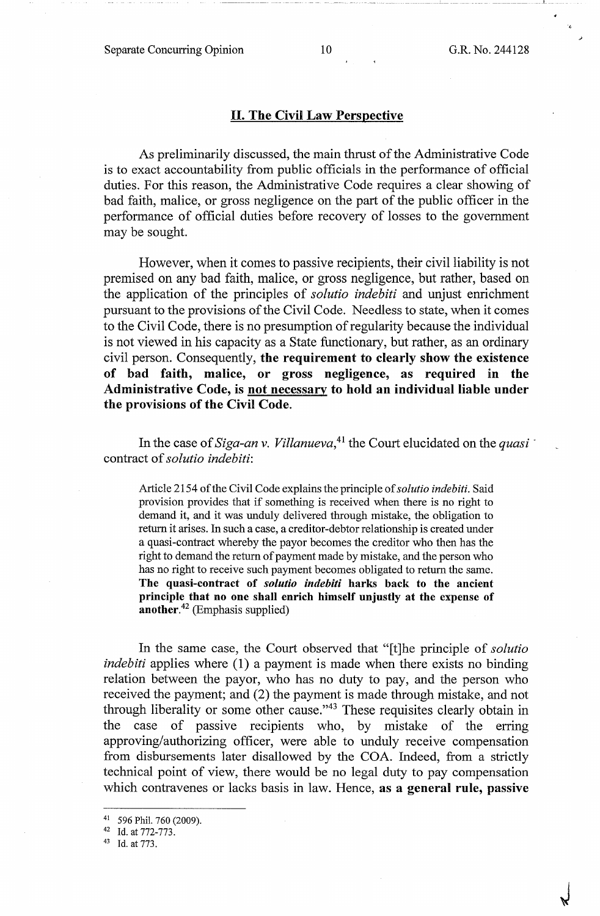·--- ·- --·------- --- IL. .

### II. **The Civil Law Perspective**

As preliminarily discussed, the main thrust of the Administrative Code is to exact accountability from public officials in the performance of official duties. For this reason, the Administrative Code requires a clear showing of bad faith, malice, or gross negligence on the part of the public officer in the performance of official duties before recovery of losses to the government may be sought.

However, when it comes to passive recipients, their civil liability is not premised on any bad faith, malice, or gross negligence, but rather, based on the application of the principles of *solutio indebiti* and unjust enrichment pursuant to the provisions of the Civil Code. Needless to state, when it comes to the Civil Code, there is no presumption of regularity because the individual is not viewed in his capacity as a State functionary, but rather, as an ordinary civil person. Consequently, **the requirement to clearly show the existence**  of bad faith, malice, or gross negligence, as required in the **Administrative Code, is not necessary to hold an individual liable under the provisions of the Civil Code.** 

In the case of *Siga-an v. Villanueva*,  $^{41}$  the Court elucidated on the *quasi* contract of *solutio indebiti:* 

Article 2154 of the Civil Code explains the principle of *solutio indebiti.* Said provision provides that if something is received when there is no right to demand it, and it was unduly delivered through mistake, the obligation to return it arises. In such a case, a creditor-debtor relationship is created under a quasi-contract whereby the payor becomes the creditor who then has the right to demand the return of payment made by mistake, and the person who has no right to receive such payment becomes obligated to return the same. **The quasi-contract of** *solutio indebiti* **harks back to the ancient principle that no one shall enrich himself unjustly at the expense of another.<sup>42</sup>**(Emphasis supplied)

In the same case, the Court observed that "[t]he principle of *solutio indebiti* applies where (1) a payment is made when there exists no binding relation between the payor, who has no duty to pay, and the person who received the payment; and (2) the payment is made through mistake, and not through liberality or some other cause."43 These requisites clearly obtain in the case of passive recipients who, by mistake of the erring approving/authorizing officer, were able to unduly receive compensation from disbursements later disallowed by the COA. Indeed, from a strictly technical point of view, there would be no legal duty to pay compensation which contravenes or lacks basis in law. Hence, **as a general rule, passive** 

<sup>41 596</sup> Phil. 760 (2009).<br>
42 Id. at 772-773.<br>
43 Id. at 773.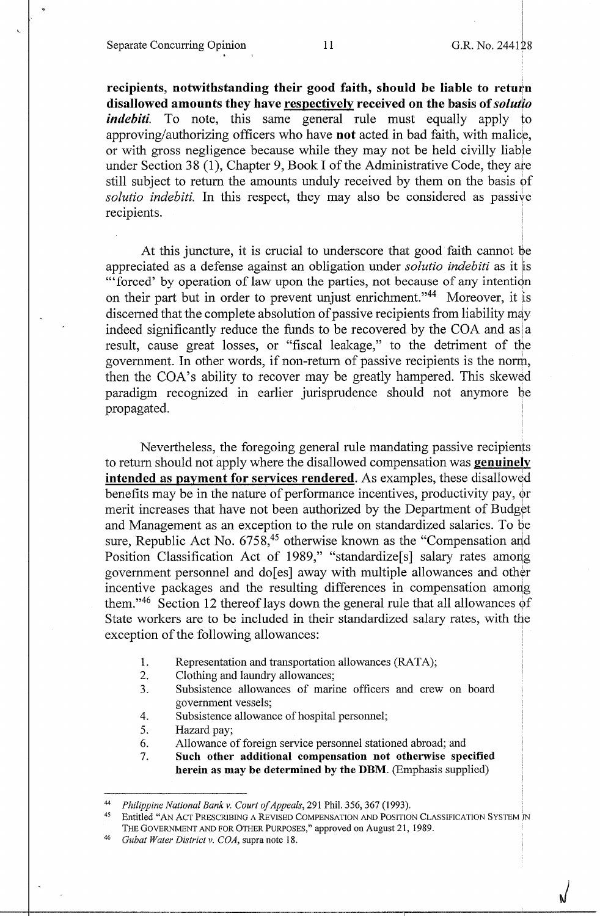Separate Concurring Opinion 11 G.R. No. 244128

 $\sqrt{ }$ 

recipients, notwithstanding their good faith, should be liable to return **disallowed amounts they have respectively received on the basis of** *solutio indebiti.* To note, this same general rule must equally apply to approving/authorizing officers who have **not** acted in bad faith, with malice, or with gross negligence because while they may not be held civilly liable under Section 38 (1), Chapter 9, Book I of the Administrative Code, they are still subject to return the amounts unduly received by them on the basis of *solutio indebiti.* In this respect, they may also be considered as passive recipients.

At this juncture, it is crucial to underscore that good faith cannot be appreciated as a defense against an obligation under *solutio indebiti* as it is "'forced' by operation of law upon the parties, not because of any intention on their part but in order to prevent unjust enrichment."<sup>44</sup> Moreover, it is discerned that the complete absolution of passive recipients from liability may indeed significantly reduce the funds to be recovered by the COA and as  $|a|$ result, cause great losses, or "fiscal leakage," to the detriment of the government. In other words, if non-return of passive recipients is the norm, then the COA's ability to recover may be greatly hampered. This skewed paradigm recognized in earlier jurisprudence should not anymore be propagated.

Nevertheless, the foregoing general rule mandating passive recipients to return should not apply where the disallowed compensation was **genuinely intended as payment for services rendered.** As examples, these disallowed benefits may be in the nature of performance incentives, productivity pay, or merit increases that have not been authorized by the Department of Budget and Management as an exception to the rule on standardized salaries. To be sure, Republic Act No.  $6758,45$  otherwise known as the "Compensation and Position Classification Act of 1989," "standardize<sup>[s]</sup> salary rates among government personnel and do[es] away with multiple allowances and other incentive packages and the resulting differences in compensation among them."<sup>46</sup> Section 12 thereof lays down the general rule that all allowances of State workers are to be included in their standardized salary rates, with the exception of the following allowances:

- 1. Representation and transportation allowances (RATA);
- 2. Clothing and laundry allowances;
- 3. Subsistence allowances of marine officers and crew on board government vessels;
- 4. Subsistence allowance of hospital personnel;
- 5. Hazard pay;
- 6. Allowance of foreign service personnel stationed abroad; and
- 7. **Such other additional compensation not otherwise specified herein as may be determined by the DBM.** (Emphasis supplied)

<sup>&</sup>lt;sup>44</sup> Philippine National Bank v. Court of Appeals, 291 Phil. 356, 367 (1993).<br><sup>45</sup> Entitled "AN ACT PRESCRIBING A REVISED COMPENSATION AND POSITION CLASSIFICATION SYSTEM IN THE GOVERNMENT AND FOR OTHER PURPOSES," approved on August 21, 1989.

<sup>46</sup>*Gubat Water District v. COA,* supra note 18.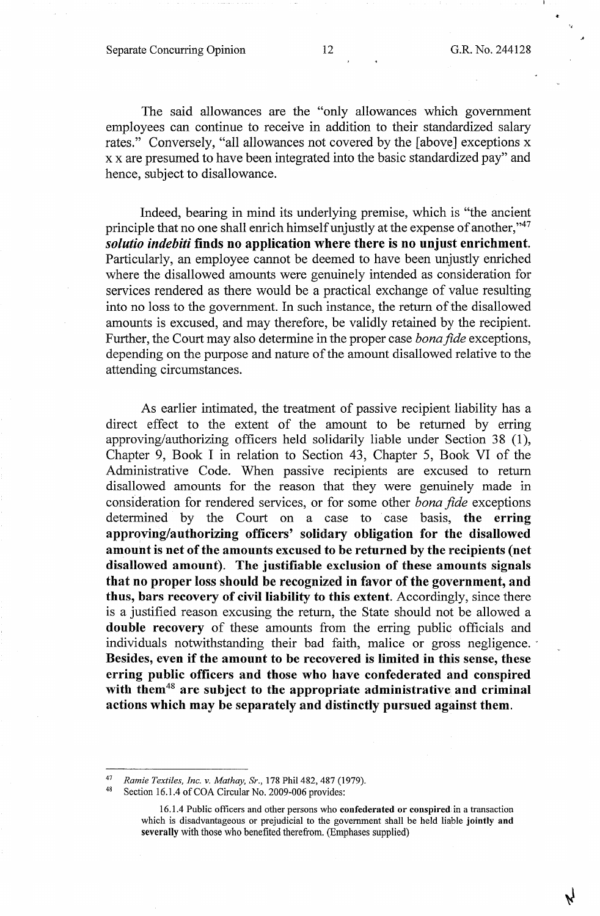';

The said allowances are the "only allowances which government employees can continue to receive in addition to their standardized salary rates." Conversely, "all allowances not covered by the [above] exceptions x x x are presumed to have been integrated into the basic standardized pay" and hence, subject to disallowance.

Indeed, bearing in mind its underlying premise, which is "the ancient principle that no one shall enrich himself unjustly at the expense of another,"<sup>47</sup> *solutio indebiti* **finds no application where there is no unjust enrichment.**  Particularly, an employee cannot be deemed to have been unjustly enriched where the disallowed amounts were genuinely intended as consideration for services rendered as there would be a practical exchange of value resulting into no loss to the government. In such instance, the return of the disallowed amounts is excused, and may therefore, be validly retained by the recipient. Further, the Court may also determine in the proper case *bona fide* exceptions, depending on the purpose and nature of the amount disallowed relative to the attending circumstances.

As earlier intimated, the treatment of passive recipient liability has a direct effect to the extent of the amount to be returned by erring approving/authorizing officers held solidarily liable under Section 38 (1), Chapter 9, Book I in relation to Section 43, Chapter 5, Book VI of the Administrative Code. When passive recipients are excused to return disallowed amounts for the reason that they were genuinely made in consideration for rendered services, or for some other *bona fide* exceptions determined by the Court on a case to case basis, **the erring approving/authorizing officers' solidary obligation for the disallowed amount is net of the amounts excused to be returned by the recipients (net disallowed amount). The justifiable exclusion of these amounts signals that no proper loss should be recognized in favor of the government, and thus, bars recovery of civil liability to this extent.** Accordingly, since there is a justified reason excusing the return, the State should not be allowed a **double recovery** of these amounts from the erring public officials and individuals notwithstanding their bad faith, malice or gross negligence. **Besides, even if the amount to be recovered is limited in tbis sense, these erring public officers and those who have confederated and conspired with them<sup>48</sup>are subject to the appropriate administrative and criminal actions which may be separately and distinctly pursued against them.** 

<sup>47</sup>*Ramie Textiles, Inc. v. Mathay, Sr.,* 178 Phil 482, 487 (1979).

Section 16.1.4 of COA Circular No. 2009-006 provides:

<sup>16.1.4</sup> Public officers and other persons who **confederated or conspired** in a transaction which is disadvantageous or prejudicial to the government shall be held liable **jointly and severally** with those who benefited therefrom. (Emphases supplied)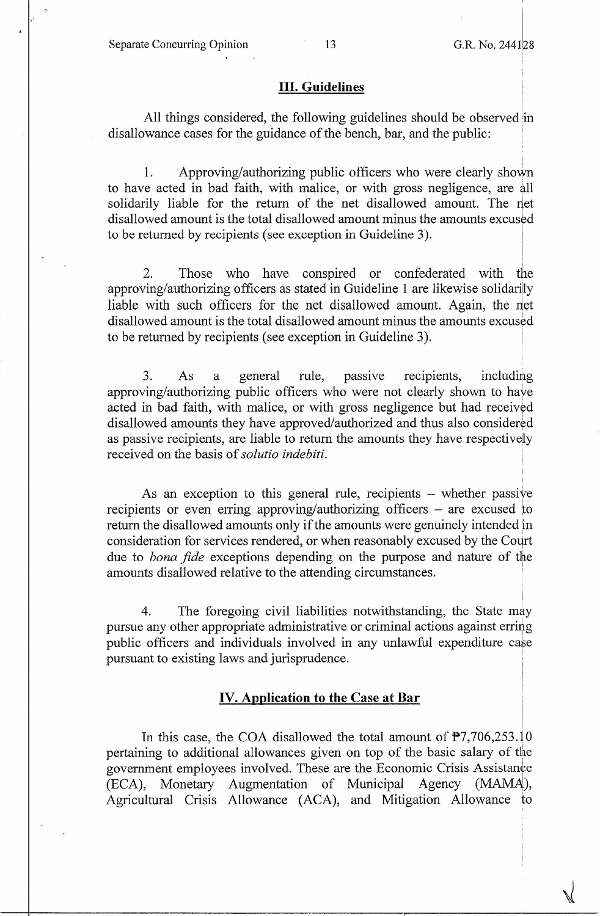# III. **Guidelines**

All things considered, the following guidelines should be observed in disallowance cases for the guidance of the bench, bar, and the public:

1. Approving/authorizing public officers who were clearly shown to have acted in bad faith, with malice, or with gross negligence, are all solidarily liable for the return of the net disallowed amount. The net disallowed amount is the total disallowed amount minus the amounts excused to be returned by recipients (see exception in Guideline 3).

2. Those who have conspired or confederated with the approving/authorizing officers as stated in Guideline 1 are likewise solidariily liable with such officers for the net disallowed amount. Again, the net disallowed amount is the total disallowed amount minus the amounts excused to be returned by recipients (see exception in Guideline 3).

3. As a general rule, passive recipients, including approving/authorizing public officers who were not clearly shown to haye acted in bad faith, with malice, or with gross negligence but had received disallowed amounts they have approved/authorized and thus also considered as passive recipients, are liable to return the amounts they have respectively received on the basis of *solutio indebiti.* 

As an exception to this general rule, recipients  $-$  whether passive recipients or even erring approving/authorizing officers - are excused *to*  return the disallowed amounts only if the amounts were genuinely intended in consideration for services rendered, or when reasonably excused by the Court due to *bona fide* exceptions depending on the purpose and nature of the amounts disallowed relative to the attending circumstances. ·

4. The foregoing civil liabilities notwithstanding, the State may pursue any other appropriate administrative or criminal actions against erring public officers and individuals involved in any unlawful expenditure case pursuant to existing laws and jurisprudence.

# **IV. Application to the Case at Bar**

In this case, the COA disallowed the total amount of  $\overline{P7,706,253.10}$ pertaining to additional allowances given on top of the basic salary of the government employees involved. These are the Economic Crisis Assistance (ECA), Monetary Augmentation of Municipal Agency (MAMA), Agricultural Crisis Allowance (ACA), and Mitigation Allowance to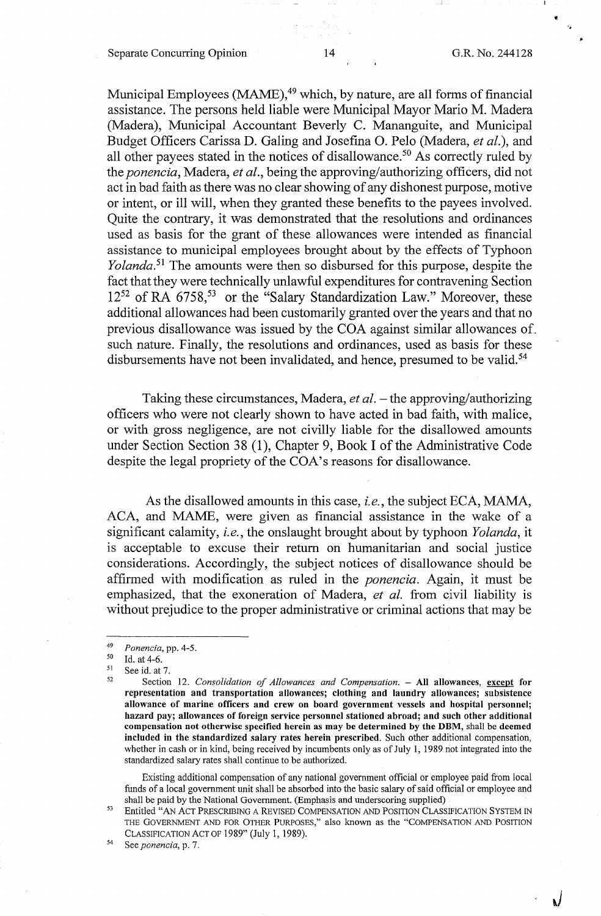Separate Concurring Opinion 14 G.R. No. 244128

"

*.,)* 

Municipal Employees (MAME), $49$  which, by nature, are all forms of financial assistance. The persons held liable were Municipal Mayor Mario M. Madera (Madera), Municipal Accountant Beverly C. Mananguite, and Municipal Budget Officers Carissa D. Galing and Josefina 0. Pelo (Madera, *et al.),* and all other payees stated in the notices of disallowance.<sup>50</sup> As correctly ruled by the *ponencia,* Madera, *et al.,* being the approving/authorizing officers, did not act in bad faith as there was no clear showing of any dishonest purpose, motive or intent, or ill will, when they granted these benefits to the payees involved. Quite the contrary, it was demonstrated that the resolutions and ordinances used as basis for the grant of these allowances were intended as financial assistance to municipal employees brought about by the effects of Typhoon *Yolanda*.<sup>51</sup> The amounts were then so disbursed for this purpose, despite the fact that they were technically unlawful expenditures for contravening Section 12<sup>52</sup> of RA 6758,<sup>53</sup> or the "Salary Standardization Law." Moreover, these additional allowances had been customarily granted over the years and that no previous disallowance was issued by the COA against similar allowances of. such nature. Finally, the resolutions and ordinances, used as basis for these disbursements have not been invalidated, and hence, presumed to be valid.<sup>54</sup>

Taking these circumstances, Madera, *et al.* – the approving/authorizing officers who were not clearly shown to have acted in bad faith, with malice, or with gross negligence, are not civilly liable for the disallowed amounts under Section Section 38 (1), Chapter 9, Book I of the Administrative Code despite the legal propriety of the COA's reasons for disallowance.

As the disallowed amounts in this case, *i.e.,* the subject ECA, MAMA, ACA, and MAME, were given as financial assistance in the wake of a significant calamity, *i.e.,* the onslaught brought about by typhoon *Yolanda,* it is acceptable to excuse their return on humanitarian and social justice considerations. Accordingly, the subject notices of disallowance should be affirmed with modification as ruled in the *ponencia.* Again, it must be emphasized, that the exoneration of Madera, *et al.* from civil liability is without prejudice to the proper administrative or criminal actions that may be

Existing additional compensation of any national government official or employee paid from local funds of a local government unit shall be absorbed into the basic salary of said official or employee and shall be paid by the National Government. (Emphasis and underscoring supplied)

<sup>53</sup> Entitled "AN ACT PRESCRIBING A REVISED COMPENSATION AND POSITION CLASSIFICATION SYSTEM IN THE GOVERNMENT AND FOR OTHER PURPOSES," also known as the "COMPENSATION AND POSITION CLASSIFICATION ACT OF 1989" (July 1, 1989). 54 See *ponencia,* p. 7.

<sup>49</sup>*Ponencia,* pp. 4-5. 50 Id. at 4-6. 51 See id. at 7. 52 Section 12. *Consolidation of Allowances and Compensation.* - **All allowances, except for representation and transportation allowances; clothing and laundry allowances; subsistence**  allowance of marine officers and crew on board government vessels and hospital personnel; **hazard pay; allowances of foreign service personnel stationed abroad; and such other additional compensation not otherwise specified herein as may be determined by the DBM,** shall be **deemed included in the standardized salary rates herein prescribed.** Such other additional compensation, whether in cash or in kind, being received by incumbents only as of July 1, 1989 not integrated into the standardized salary rates shall continue to be authorized.